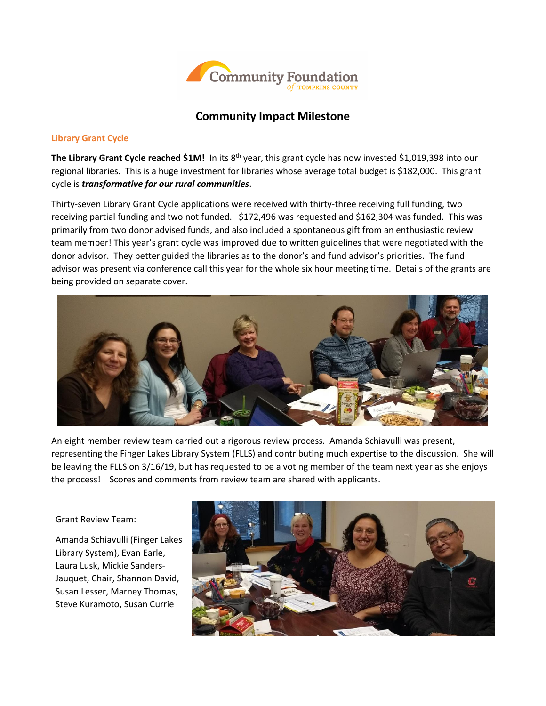

# **Community Impact Milestone**

# **Library Grant Cycle**

**The Library Grant Cycle reached \$1M!** In its 8th year, this grant cycle has now invested \$1,019,398 into our regional libraries. This is a huge investment for libraries whose average total budget is \$182,000. This grant cycle is *transformative for our rural communities*.

Thirty-seven Library Grant Cycle applications were received with thirty-three receiving full funding, two receiving partial funding and two not funded. \$172,496 was requested and \$162,304 was funded. This was primarily from two donor advised funds, and also included a spontaneous gift from an enthusiastic review team member! This year's grant cycle was improved due to written guidelines that were negotiated with the donor advisor. They better guided the libraries as to the donor's and fund advisor's priorities. The fund advisor was present via conference call this year for the whole six hour meeting time. Details of the grants are being provided on separate cover.



An eight member review team carried out a rigorous review process. Amanda Schiavulli was present, representing the Finger Lakes Library System (FLLS) and contributing much expertise to the discussion. She will be leaving the FLLS on 3/16/19, but has requested to be a voting member of the team next year as she enjoys the process! Scores and comments from review team are shared with applicants.

Grant Review Team:

Amanda Schiavulli (Finger Lakes Library System), Evan Earle, Laura Lusk, Mickie Sanders-Jauquet, Chair, Shannon David, Susan Lesser, Marney Thomas, Steve Kuramoto, Susan Currie

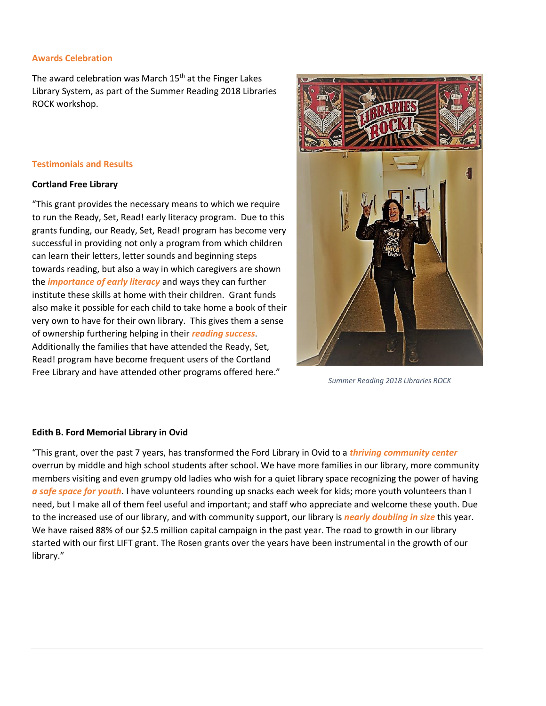#### **Awards Celebration**

The award celebration was March  $15<sup>th</sup>$  at the Finger Lakes Library System, as part of the Summer Reading 2018 Libraries ROCK workshop.

# **Testimonials and Results**

# **Cortland Free Library**

"This grant provides the necessary means to which we require to run the Ready, Set, Read! early literacy program. Due to this grants funding, our Ready, Set, Read! program has become very successful in providing not only a program from which children can learn their letters, letter sounds and beginning steps towards reading, but also a way in which caregivers are shown the *importance of early literacy* and ways they can further institute these skills at home with their children. Grant funds also make it possible for each child to take home a book of their very own to have for their own library. This gives them a sense of ownership furthering helping in their *reading success*. Additionally the families that have attended the Ready, Set, Read! program have become frequent users of the Cortland Free Library and have attended other programs offered here."



*Summer Reading 2018 Libraries ROCK*

# **Edith B. Ford Memorial Library in Ovid**

"This grant, over the past 7 years, has transformed the Ford Library in Ovid to a *thriving community center* overrun by middle and high school students after school. We have more families in our library, more community members visiting and even grumpy old ladies who wish for a quiet library space recognizing the power of having *a safe space for youth*. I have volunteers rounding up snacks each week for kids; more youth volunteers than I need, but I make all of them feel useful and important; and staff who appreciate and welcome these youth. Due to the increased use of our library, and with community support, our library is *nearly doubling in size* this year. We have raised 88% of our \$2.5 million capital campaign in the past year. The road to growth in our library started with our first LIFT grant. The Rosen grants over the years have been instrumental in the growth of our library."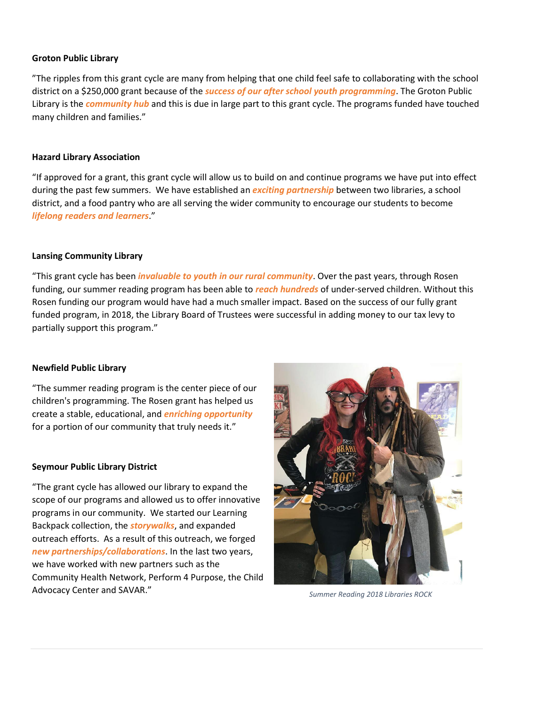### **Groton Public Library**

"The ripples from this grant cycle are many from helping that one child feel safe to collaborating with the school district on a \$250,000 grant because of the *success of our after school youth programming*. The Groton Public Library is the *community hub* and this is due in large part to this grant cycle. The programs funded have touched many children and families."

#### **Hazard Library Association**

"If approved for a grant, this grant cycle will allow us to build on and continue programs we have put into effect during the past few summers. We have established an *exciting partnership* between two libraries, a school district, and a food pantry who are all serving the wider community to encourage our students to become *lifelong readers and learners*."

#### **Lansing Community Library**

"This grant cycle has been *invaluable to youth in our rural community*. Over the past years, through Rosen funding, our summer reading program has been able to *reach hundreds* of under-served children. Without this Rosen funding our program would have had a much smaller impact. Based on the success of our fully grant funded program, in 2018, the Library Board of Trustees were successful in adding money to our tax levy to partially support this program."

#### **Newfield Public Library**

"The summer reading program is the center piece of our children's programming. The Rosen grant has helped us create a stable, educational, and *enriching opportunity* for a portion of our community that truly needs it."

#### **Seymour Public Library District**

"The grant cycle has allowed our library to expand the scope of our programs and allowed us to offer innovative programs in our community. We started our Learning Backpack collection, the *storywalks*, and expanded outreach efforts. As a result of this outreach, we forged *new partnerships/collaborations*. In the last two years, we have worked with new partners such as the Community Health Network, Perform 4 Purpose, the Child Advocacy Center and SAVAR."



*Summer Reading 2018 Libraries ROCK*